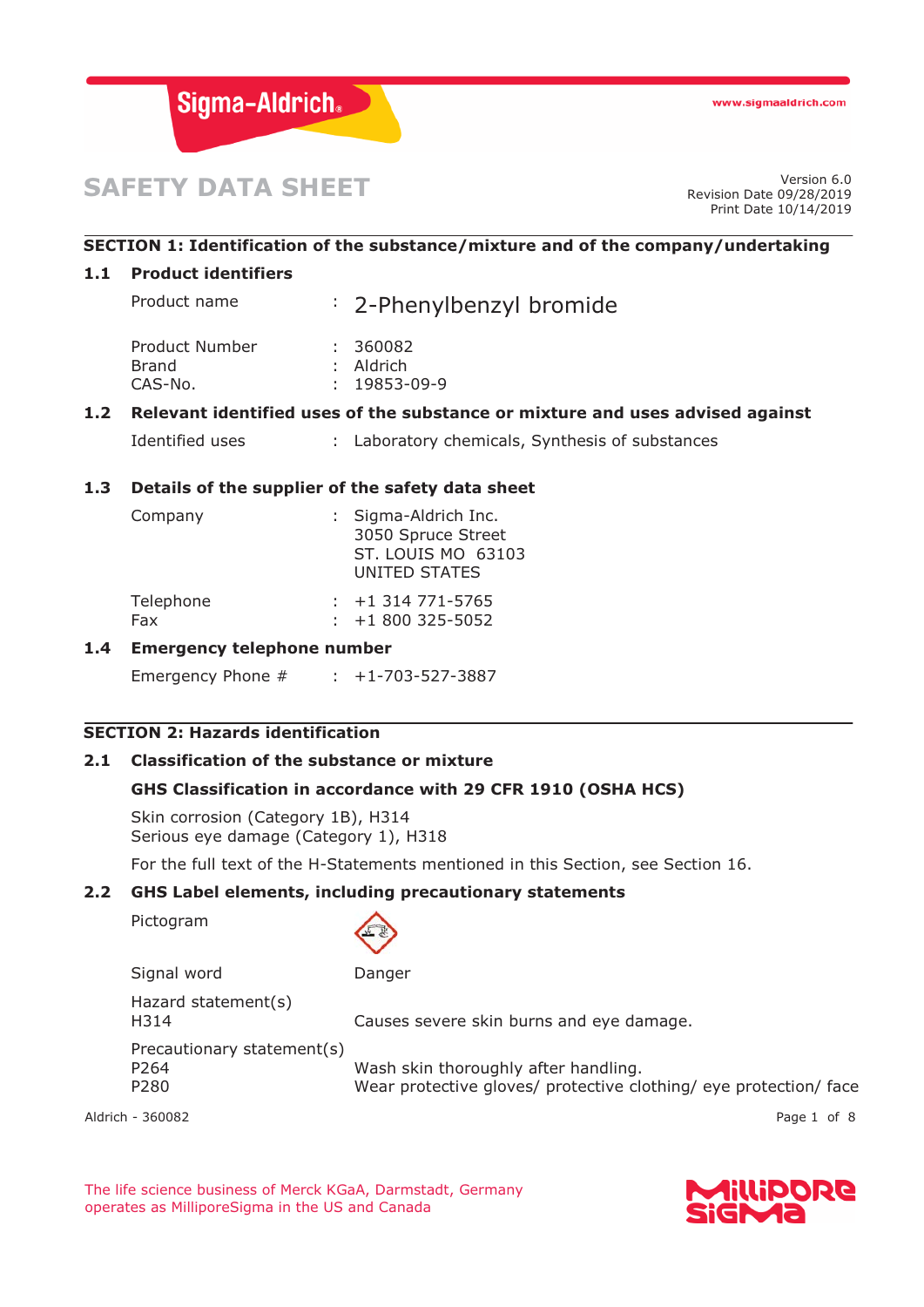

# **SAFETY DATA SHEET**

Revision Date 09/28/2019 Print Date 10/14/2019

# **SECTION 1: Identification of the substance/mixture and of the company/undertaking**

#### **1.1 Product identifiers**

| Product name   | : 2-Phenylbenzyl bromide |
|----------------|--------------------------|
| Product Number | : 360082                 |
| <b>Brand</b>   | $:$ Aldrich              |
| CAS-No.        | $: 19853 - 09 - 9$       |

# **1.2 Relevant identified uses of the substance or mixture and uses advised against**

Identified uses : Laboratory chemicals, Synthesis of substances

# **1.3 Details of the supplier of the safety data sheet**

| Company   | : Sigma-Aldrich Inc.<br>3050 Spruce Street<br>ST. LOUIS MO 63103<br>UNITED STATES |
|-----------|-----------------------------------------------------------------------------------|
| Telephone | $: +1314771 - 5765$                                                               |
| Fax       | $: +1800325 - 5052$                                                               |

## **1.4 Emergency telephone number**

Emergency Phone # : +1-703-527-3887

## **SECTION 2: Hazards identification**

## **2.1 Classification of the substance or mixture**

# **GHS Classification in accordance with 29 CFR 1910 (OSHA HCS)**

Skin corrosion (Category 1B), H314 Serious eye damage (Category 1), H318

For the full text of the H-Statements mentioned in this Section, see Section 16.

# **2.2 GHS Label elements, including precautionary statements**

Pictogram



| Signal word                                                        | Danger                                                                                                    |
|--------------------------------------------------------------------|-----------------------------------------------------------------------------------------------------------|
| Hazard statement(s)<br>H314                                        | Causes severe skin burns and eye damage.                                                                  |
| Precautionary statement(s)<br>P <sub>264</sub><br>P <sub>280</sub> | Wash skin thoroughly after handling.<br>Wear protective gloves/ protective clothing/ eye protection/ face |

Aldrich - 360082 Page 1 of 8

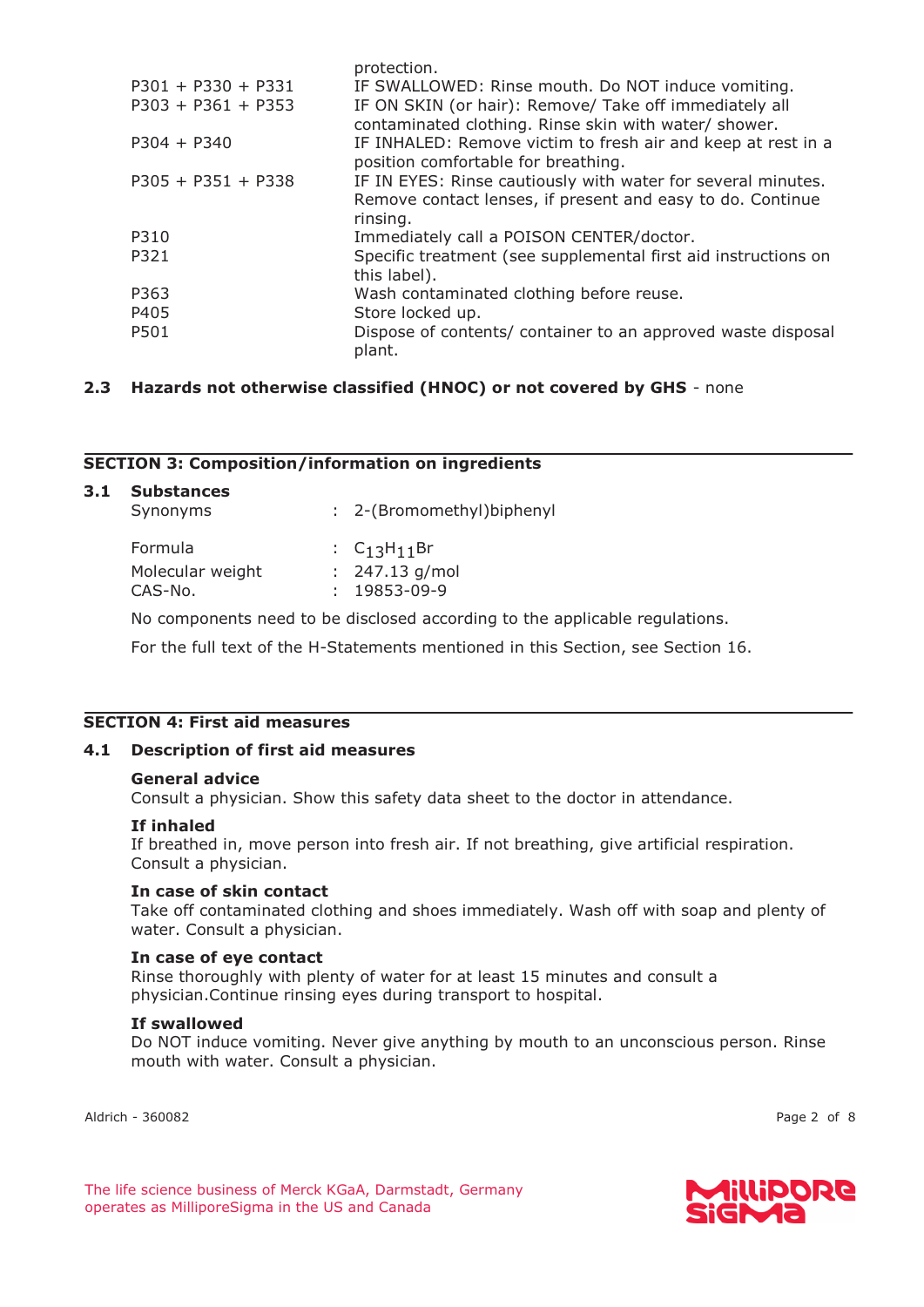|                      | protection.                                                                                                                            |
|----------------------|----------------------------------------------------------------------------------------------------------------------------------------|
| $P301 + P330 + P331$ | IF SWALLOWED: Rinse mouth. Do NOT induce vomiting.                                                                                     |
| $P303 + P361 + P353$ | IF ON SKIN (or hair): Remove/ Take off immediately all<br>contaminated clothing. Rinse skin with water/ shower.                        |
| $P304 + P340$        | IF INHALED: Remove victim to fresh air and keep at rest in a<br>position comfortable for breathing.                                    |
| $P305 + P351 + P338$ | IF IN EYES: Rinse cautiously with water for several minutes.<br>Remove contact lenses, if present and easy to do. Continue<br>rinsing. |
| P310                 | Immediately call a POISON CENTER/doctor.                                                                                               |
| P321                 | Specific treatment (see supplemental first aid instructions on<br>this label).                                                         |
| P363                 | Wash contaminated clothing before reuse.                                                                                               |
| P405                 | Store locked up.                                                                                                                       |
| P501                 | Dispose of contents/ container to an approved waste disposal<br>plant.                                                                 |

# **2.3 Hazards not otherwise classified (HNOC) or not covered by GHS** - none

# **SECTION 3: Composition/information on ingredients**

| : 2-(Bromomethyl)biphenyl |
|---------------------------|
| : $C_{13}H_{11}Br$        |
| $: 247.13$ g/mol          |
| $: 19853 - 09 - 9$        |
|                           |

No components need to be disclosed according to the applicable regulations.

For the full text of the H-Statements mentioned in this Section, see Section 16.

# **SECTION 4: First aid measures**

## **4.1 Description of first aid measures**

#### **General advice**

Consult a physician. Show this safety data sheet to the doctor in attendance.

#### **If inhaled**

If breathed in, move person into fresh air. If not breathing, give artificial respiration. Consult a physician.

## **In case of skin contact**

Take off contaminated clothing and shoes immediately. Wash off with soap and plenty of water. Consult a physician.

## **In case of eye contact**

Rinse thoroughly with plenty of water for at least 15 minutes and consult a physician.Continue rinsing eyes during transport to hospital.

#### **If swallowed**

Do NOT induce vomiting. Never give anything by mouth to an unconscious person. Rinse mouth with water. Consult a physician.

Aldrich - 360082 Page 2 of 8

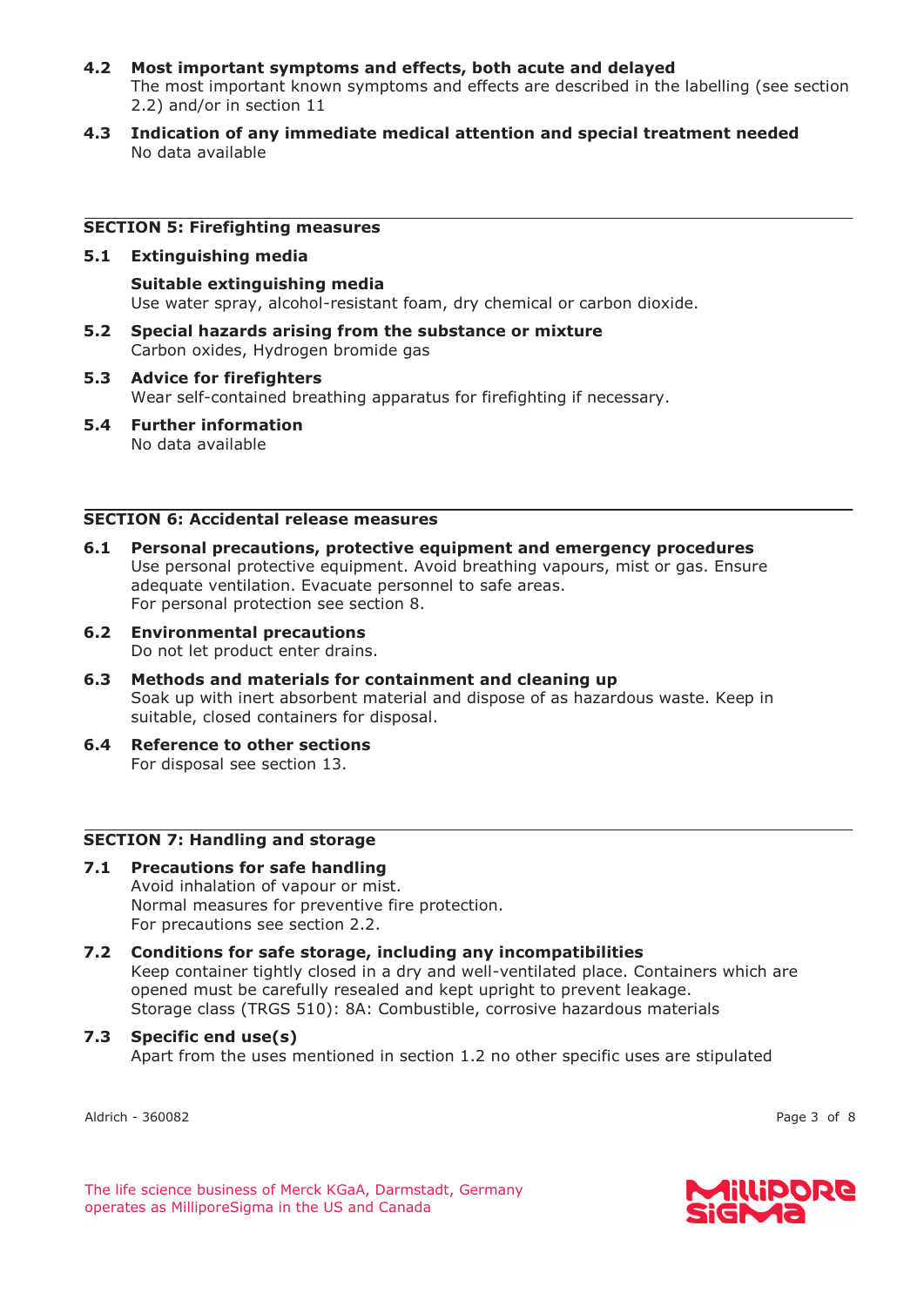- **4.2 Most important symptoms and effects, both acute and delayed**  The most important known symptoms and effects are described in the labelling (see section 2.2) and/or in section 11
- **4.3 Indication of any immediate medical attention and special treatment needed**  No data available

#### **SECTION 5: Firefighting measures**

#### **5.1 Extinguishing media**

**Suitable extinguishing media**  Use water spray, alcohol-resistant foam, dry chemical or carbon dioxide.

- **5.2 Special hazards arising from the substance or mixture**  Carbon oxides, Hydrogen bromide gas
- **5.3 Advice for firefighters**  Wear self-contained breathing apparatus for firefighting if necessary.
- **5.4 Further information**  No data available

# **SECTION 6: Accidental release measures**

- **6.1 Personal precautions, protective equipment and emergency procedures**  Use personal protective equipment. Avoid breathing vapours, mist or gas. Ensure adequate ventilation. Evacuate personnel to safe areas. For personal protection see section 8.
- **6.2 Environmental precautions**  Do not let product enter drains.
- **6.3 Methods and materials for containment and cleaning up**  Soak up with inert absorbent material and dispose of as hazardous waste. Keep in suitable, closed containers for disposal.
- **6.4 Reference to other sections**  For disposal see section 13.

#### **SECTION 7: Handling and storage**

- **7.1 Precautions for safe handling**  Avoid inhalation of vapour or mist. Normal measures for preventive fire protection. For precautions see section 2.2.
- **7.2 Conditions for safe storage, including any incompatibilities**  Keep container tightly closed in a dry and well-ventilated place. Containers which are opened must be carefully resealed and kept upright to prevent leakage. Storage class (TRGS 510): 8A: Combustible, corrosive hazardous materials

# **7.3 Specific end use(s)**  Apart from the uses mentioned in section 1.2 no other specific uses are stipulated

Aldrich - 360082 Page 3 of 8

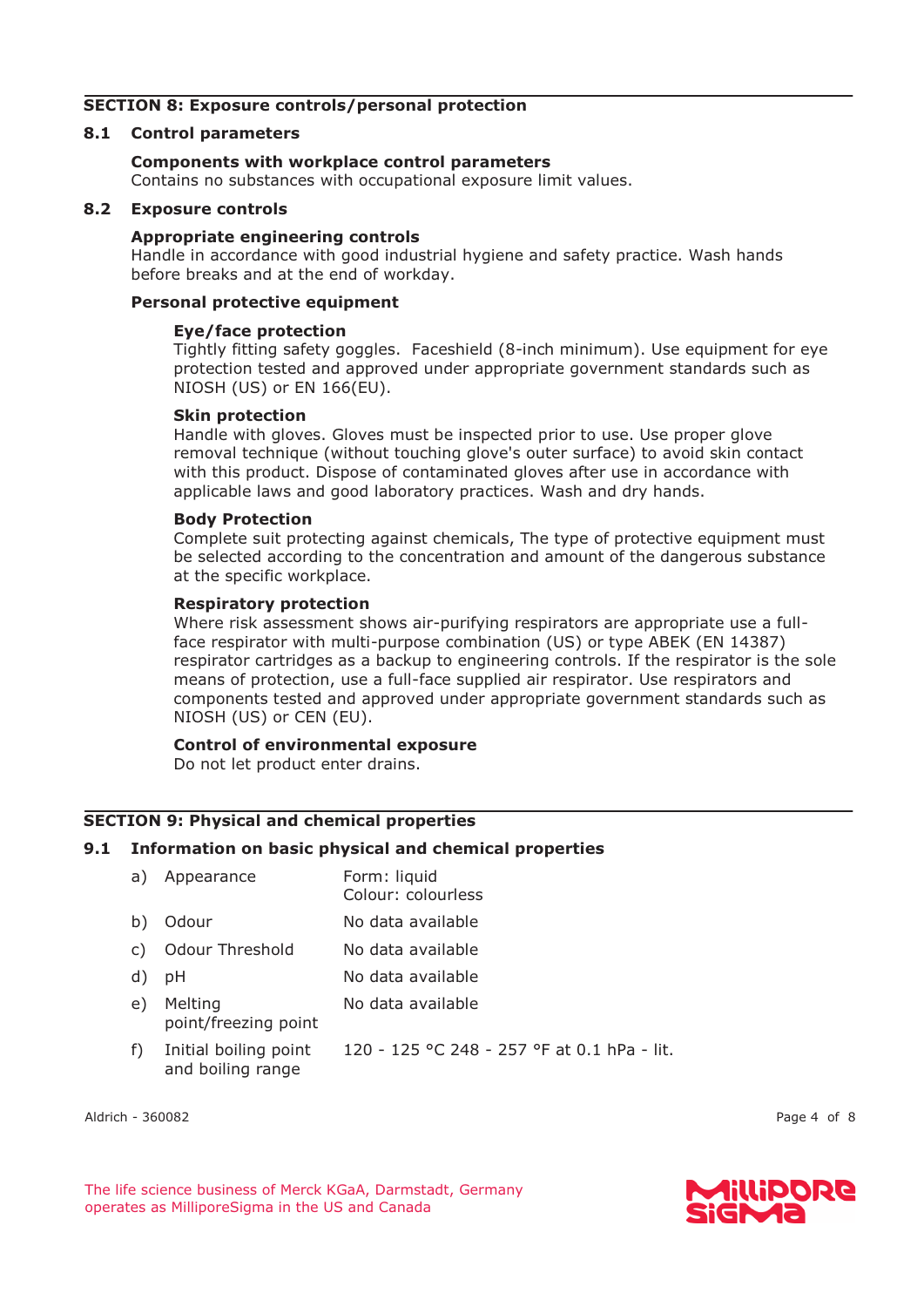# **SECTION 8: Exposure controls/personal protection**

#### **8.1 Control parameters**

#### **Components with workplace control parameters**

Contains no substances with occupational exposure limit values.

#### **8.2 Exposure controls**

#### **Appropriate engineering controls**

Handle in accordance with good industrial hygiene and safety practice. Wash hands before breaks and at the end of workday.

# **Personal protective equipment**

#### **Eye/face protection**

Tightly fitting safety goggles. Faceshield (8-inch minimum). Use equipment for eye protection tested and approved under appropriate government standards such as NIOSH (US) or EN 166(EU).

#### **Skin protection**

Handle with gloves. Gloves must be inspected prior to use. Use proper glove removal technique (without touching glove's outer surface) to avoid skin contact with this product. Dispose of contaminated gloves after use in accordance with applicable laws and good laboratory practices. Wash and dry hands.

#### **Body Protection**

Complete suit protecting against chemicals, The type of protective equipment must be selected according to the concentration and amount of the dangerous substance at the specific workplace.

#### **Respiratory protection**

Where risk assessment shows air-purifying respirators are appropriate use a fullface respirator with multi-purpose combination (US) or type ABEK (EN 14387) respirator cartridges as a backup to engineering controls. If the respirator is the sole means of protection, use a full-face supplied air respirator. Use respirators and components tested and approved under appropriate government standards such as NIOSH (US) or CEN (EU).

#### **Control of environmental exposure**

Do not let product enter drains.

## **SECTION 9: Physical and chemical properties**

## **9.1 Information on basic physical and chemical properties**

| a) | Appearance                                 | Form: liquid<br>Colour: colourless          |
|----|--------------------------------------------|---------------------------------------------|
| b) | Odour                                      | No data available                           |
| C) | Odour Threshold                            | No data available                           |
| d) | рH                                         | No data available                           |
| e) | Melting<br>point/freezing point            | No data available                           |
| f) | Initial boiling point<br>and boiling range | 120 - 125 °C 248 - 257 °F at 0.1 hPa - lit. |

Aldrich - 360082 Page 4 of 8



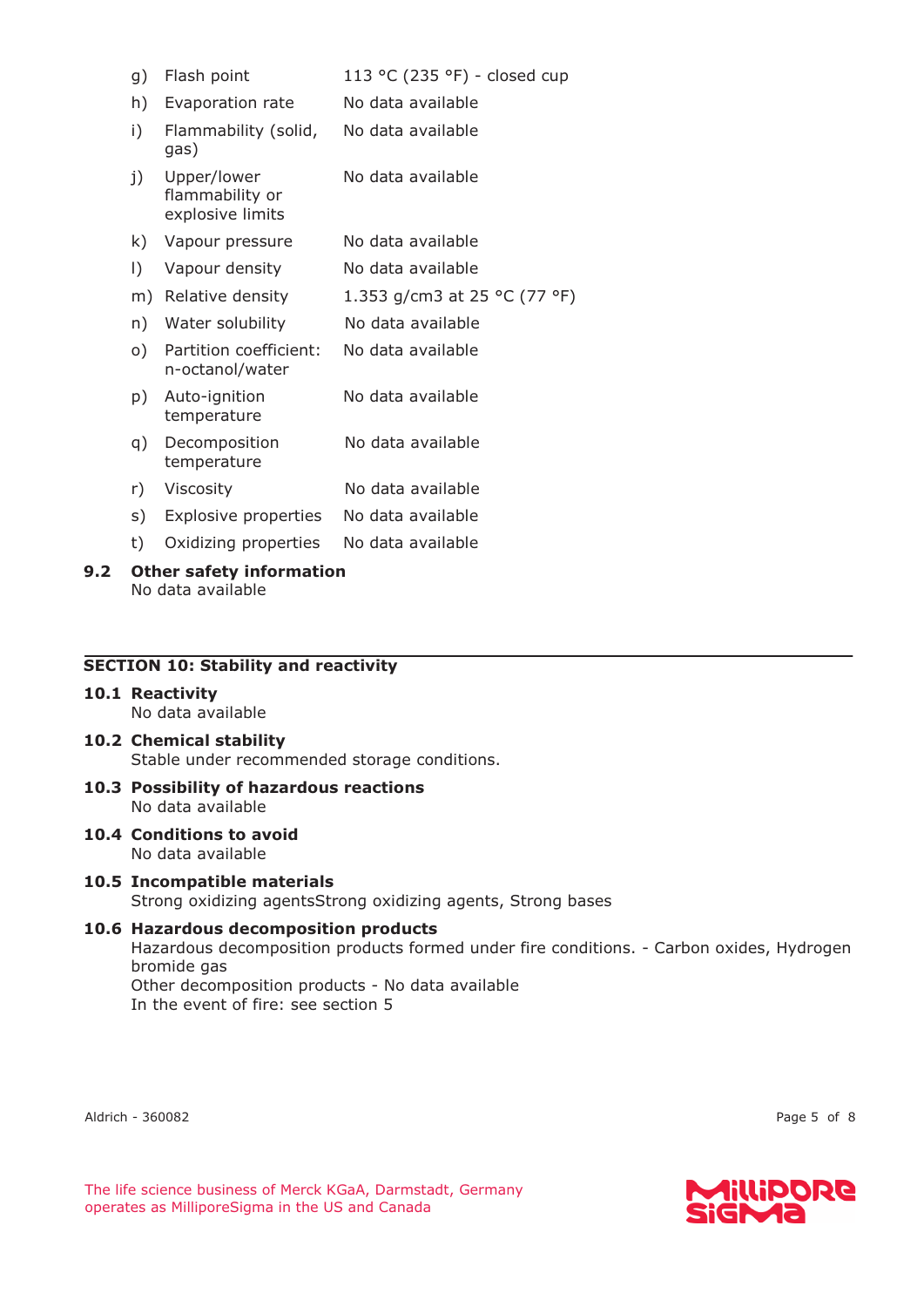| g)                                        | Flash point                                        | 113 °C (235 °F) - closed cup |  |
|-------------------------------------------|----------------------------------------------------|------------------------------|--|
| h)                                        | Evaporation rate                                   | No data available            |  |
| i)                                        | Flammability (solid,<br>gas)                       | No data available            |  |
| j)                                        | Upper/lower<br>flammability or<br>explosive limits | No data available            |  |
| k)                                        | Vapour pressure                                    | No data available            |  |
| $\vert$ )                                 | Vapour density                                     | No data available            |  |
| m)                                        | Relative density                                   | 1.353 g/cm3 at 25 °C (77 °F) |  |
| n)                                        | Water solubility                                   | No data available            |  |
| o)                                        | Partition coefficient:<br>n-octanol/water          | No data available            |  |
| p)                                        | Auto-ignition<br>temperature                       | No data available            |  |
| q)                                        | Decomposition<br>temperature                       | No data available            |  |
| r)                                        | Viscosity                                          | No data available            |  |
| s)                                        | Explosive properties                               | No data available            |  |
| t)                                        | Oxidizing properties                               | No data available            |  |
| $\bigcap$ then esfatulate under $\bigcup$ |                                                    |                              |  |

# **9.2 Other safety information**  No data available

#### **SECTION 10: Stability and reactivity**

#### **10.1 Reactivity**  No data available

# **10.2 Chemical stability**

Stable under recommended storage conditions.

- **10.3 Possibility of hazardous reactions**  No data available
- **10.4 Conditions to avoid**  No data available

# **10.5 Incompatible materials**

Strong oxidizing agentsStrong oxidizing agents, Strong bases

# **10.6 Hazardous decomposition products**

Hazardous decomposition products formed under fire conditions. - Carbon oxides, Hydrogen bromide gas

Other decomposition products - No data available In the event of fire: see section 5

Aldrich - 360082 Page 5 of 8

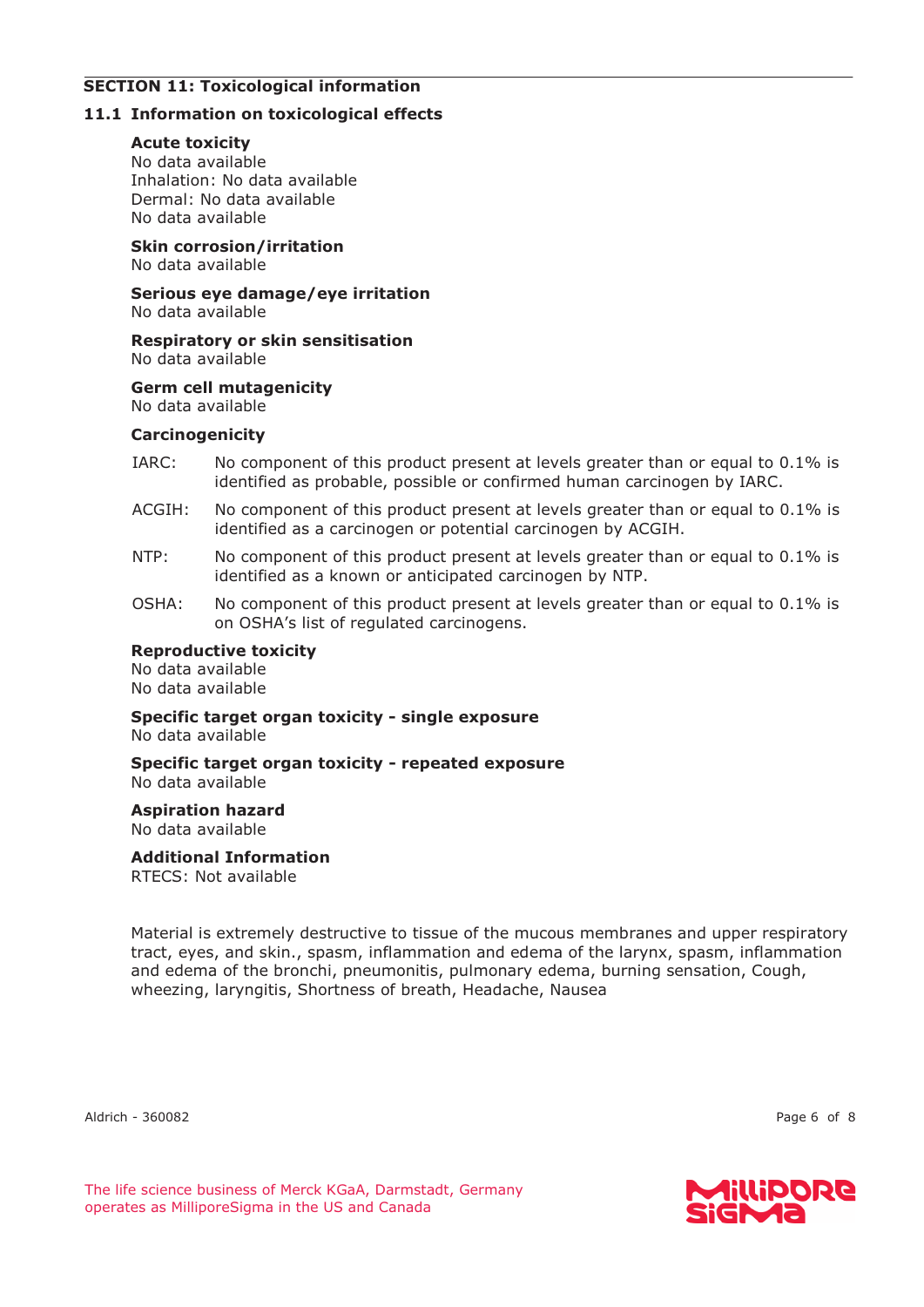# **SECTION 11: Toxicological information**

# **11.1 Information on toxicological effects**

# **Acute toxicity**

No data available Inhalation: No data available Dermal: No data available No data available

**Skin corrosion/irritation** 

No data available

**Serious eye damage/eye irritation**  No data available

**Respiratory or skin sensitisation**  No data available

**Germ cell mutagenicity**  No data available

# **Carcinogenicity**

- IARC: No component of this product present at levels greater than or equal to 0.1% is identified as probable, possible or confirmed human carcinogen by IARC.
- ACGIH: No component of this product present at levels greater than or equal to 0.1% is identified as a carcinogen or potential carcinogen by ACGIH.
- NTP: No component of this product present at levels greater than or equal to 0.1% is identified as a known or anticipated carcinogen by NTP.
- OSHA: No component of this product present at levels greater than or equal to 0.1% is on OSHA's list of regulated carcinogens.

# **Reproductive toxicity**

No data available No data available

**Specific target organ toxicity - single exposure**  No data available

**Specific target organ toxicity - repeated exposure**  No data available

**Aspiration hazard**  No data available

# **Additional Information**

RTECS: Not available

Material is extremely destructive to tissue of the mucous membranes and upper respiratory tract, eyes, and skin., spasm, inflammation and edema of the larynx, spasm, inflammation and edema of the bronchi, pneumonitis, pulmonary edema, burning sensation, Cough, wheezing, laryngitis, Shortness of breath, Headache, Nausea

Aldrich - 360082 Page 6 of 8

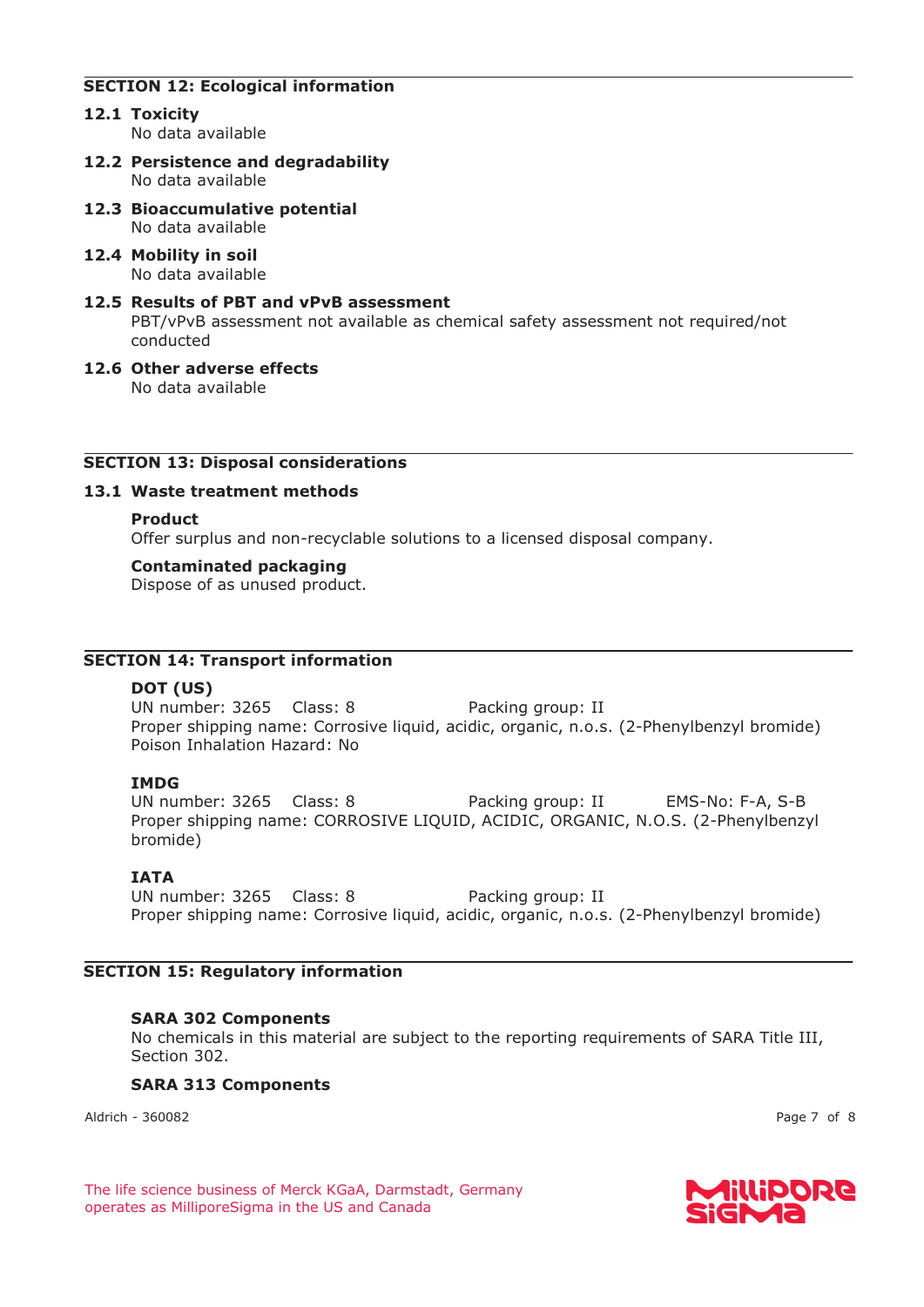# **SECTION 12: Ecological information**

- **12.1 Toxicity**  No data available
- **12.2 Persistence and degradability**  No data available
- **12.3 Bioaccumulative potential**  No data available
- **12.4 Mobility in soil**  No data available
- **12.5 Results of PBT and vPvB assessment**  PBT/vPvB assessment not available as chemical safety assessment not required/not conducted
- **12.6 Other adverse effects**  No data available

## **SECTION 13: Disposal considerations**

#### **13.1 Waste treatment methods**

#### **Product**

Offer surplus and non-recyclable solutions to a licensed disposal company.

#### **Contaminated packaging**

Dispose of as unused product.

# **SECTION 14: Transport information**

## **DOT (US)**

UN number: 3265 Class: 8 Packing group: II Proper shipping name: Corrosive liquid, acidic, organic, n.o.s. (2-Phenylbenzyl bromide) Poison Inhalation Hazard: No

## **IMDG**

UN number: 3265 Class: 8 Packing group: II EMS-No: F-A, S-B Proper shipping name: CORROSIVE LIQUID, ACIDIC, ORGANIC, N.O.S. (2-Phenylbenzyl bromide)

# **IATA**

UN number: 3265 Class: 8 Packing group: II Proper shipping name: Corrosive liquid, acidic, organic, n.o.s. (2-Phenylbenzyl bromide)

## **SECTION 15: Regulatory information**

## **SARA 302 Components**

No chemicals in this material are subject to the reporting requirements of SARA Title III, Section 302.

## **SARA 313 Components**

Aldrich - 360082 Page 7 of 8